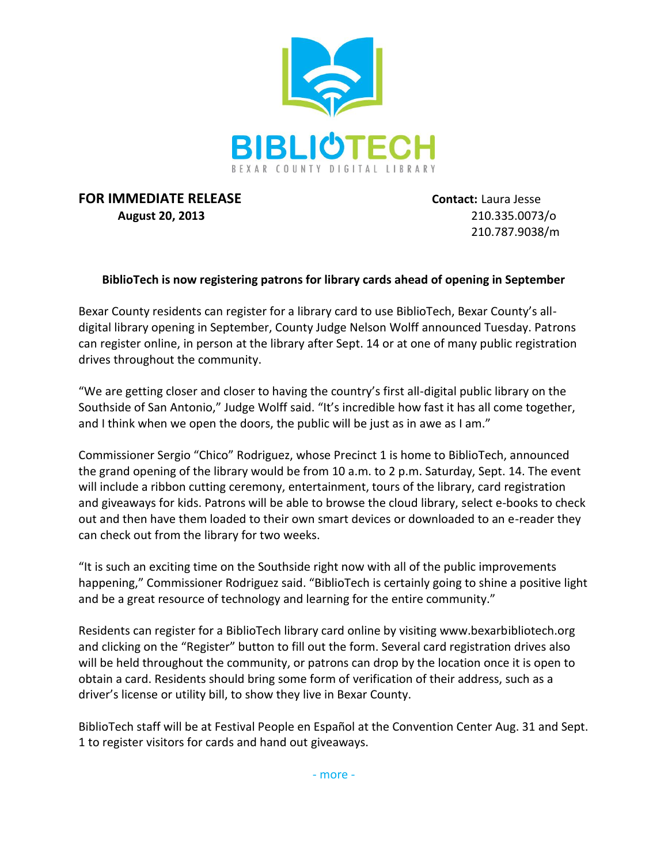

## **FOR IMMEDIATE RELEASE Contact:** Laura Jesse **August 20, 2013** 210.335.0073/o

210.787.9038/m

## **BiblioTech is now registering patrons for library cards ahead of opening in September**

Bexar County residents can register for a library card to use BiblioTech, Bexar County's alldigital library opening in September, County Judge Nelson Wolff announced Tuesday. Patrons can register online, in person at the library after Sept. 14 or at one of many public registration drives throughout the community.

"We are getting closer and closer to having the country's first all-digital public library on the Southside of San Antonio," Judge Wolff said. "It's incredible how fast it has all come together, and I think when we open the doors, the public will be just as in awe as I am."

Commissioner Sergio "Chico" Rodriguez, whose Precinct 1 is home to BiblioTech, announced the grand opening of the library would be from 10 a.m. to 2 p.m. Saturday, Sept. 14. The event will include a ribbon cutting ceremony, entertainment, tours of the library, card registration and giveaways for kids. Patrons will be able to browse the cloud library, select e-books to check out and then have them loaded to their own smart devices or downloaded to an e-reader they can check out from the library for two weeks.

"It is such an exciting time on the Southside right now with all of the public improvements happening," Commissioner Rodriguez said. "BiblioTech is certainly going to shine a positive light and be a great resource of technology and learning for the entire community."

Residents can register for a BiblioTech library card online by visiting www.bexarbibliotech.org and clicking on the "Register" button to fill out the form. Several card registration drives also will be held throughout the community, or patrons can drop by the location once it is open to obtain a card. Residents should bring some form of verification of their address, such as a driver's license or utility bill, to show they live in Bexar County.

BiblioTech staff will be at Festival People en Español at the Convention Center Aug. 31 and Sept. 1 to register visitors for cards and hand out giveaways.

- more -